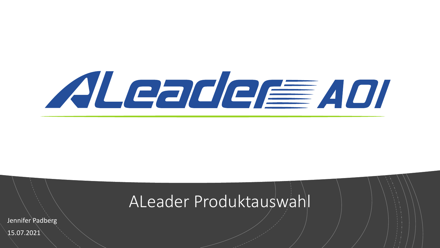

### ALeader Produktauswahl

Jennifer Padberg 15.07.2021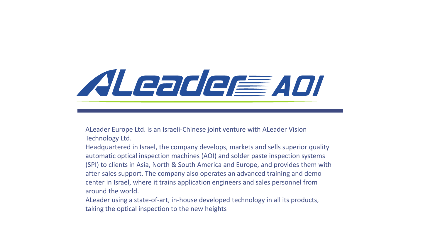# ALeader ADI

ALeader Europe Ltd. is an Israeli-Chinese joint venture with ALeader Vision Technology Ltd.

Headquartered in Israel, the company develops, markets and sells superior quality automatic optical inspection machines (AOI) and solder paste inspection systems (SPI) to clients in Asia, North & South America and Europe, and provides them with after-sales support. The company also operates an advanced training and demo center in Israel, where it trains application engineers and sales personnel from around the world.

ALeader using a state-of-art, in-house developed technology in all its products, taking the optical inspection to the new heights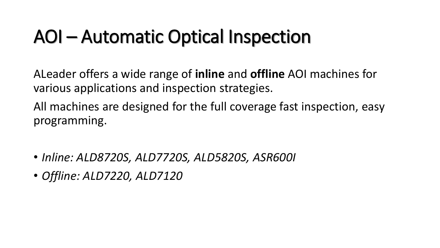### AOI – Automatic Optical Inspection

ALeader offers a wide range of **inline** and **offline** AOI machines for various applications and inspection strategies.

All machines are designed for the full coverage fast inspection, easy programming.

- *Inline: ALD8720S, ALD7720S, ALD5820S, ASR600I*
- *Offline: ALD7220, ALD7120*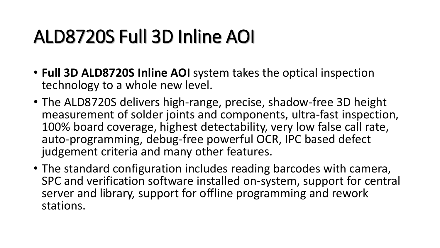- **Full 3D ALD8720S Inline AOI** system takes the optical inspection technology to a whole new level.
- The ALD8720S delivers high-range, precise, shadow-free 3D height measurement of solder joints and components, ultra-fast inspection, 100% board coverage, highest detectability, very low false call rate, auto-programming, debug-free powerful OCR, IPC based defect judgement criteria and many other features.
- The standard configuration includes reading barcodes with camera, SPC and verification software installed on-system, support for central server and library, support for offline programming and rework stations.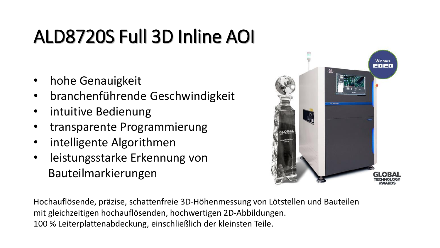- hohe Genauigkeit
- branchenführende Geschwindigkeit
- intuitive Bedienung
- transparente Programmierung
- intelligente Algorithmen
- leistungsstarke Erkennung von Bauteilmarkierungen



Hochauflösende, präzise, schattenfreie 3D-Höhenmessung von Lötstellen und Bauteilen mit gleichzeitigen hochauflösenden, hochwertigen 2D-Abbildungen. 100 % Leiterplattenabdeckung, einschließlich der kleinsten Teile.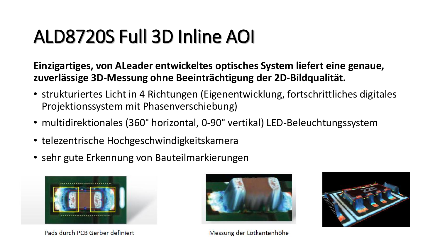**Einzigartiges, von ALeader entwickeltes optisches System liefert eine genaue, zuverlässige 3D-Messung ohne Beeinträchtigung der 2D-Bildqualität.** 

- strukturiertes Licht in 4 Richtungen (Eigenentwicklung, fortschrittliches digitales Projektionssystem mit Phasenverschiebung)
- multidirektionales (360° horizontal, 0-90° vertikal) LED-Beleuchtungssystem
- telezentrische Hochgeschwindigkeitskamera
- sehr gute Erkennung von Bauteilmarkierungen



Pads durch PCB Gerber definiert



Messung der Lötkantenhöhe

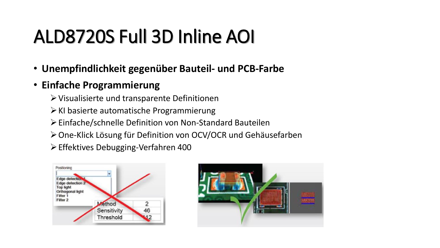- **Unempfindlichkeit gegenüber Bauteil- und PCB-Farbe**
- **Einfache Programmierung**
	- ➢Visualisierte und transparente Definitionen
	- ➢KI basierte automatische Programmierung
	- ➢Einfache/schnelle Definition von Non-Standard Bauteilen
	- ➢One-Klick Lösung für Definition von OCV/OCR und Gehäusefarben
	- ➢Effektives Debugging-Verfahren 400



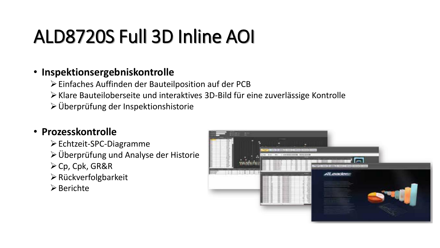#### • **Inspektionsergebniskontrolle**

- ➢Einfaches Auffinden der Bauteilposition auf der PCB
- ➢Klare Bauteiloberseite und interaktives 3D-Bild für eine zuverlässige Kontrolle
- ➢Überprüfung der Inspektionshistorie

#### • **Prozesskontrolle**

- ➢Echtzeit-SPC-Diagramme
- ➢Überprüfung und Analyse der Historie
- ➢Cp, Cpk, GR&R
- ➢Rückverfolgbarkeit
- ➢Berichte

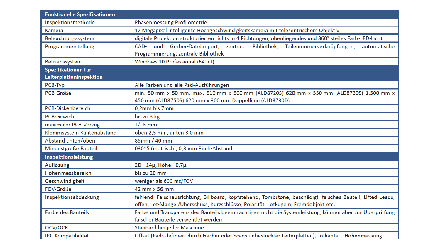| Funktionelle Spezifikationen |                                                                                                            |
|------------------------------|------------------------------------------------------------------------------------------------------------|
| Inspektionsmethode           | Phasenmessung Profilometrie                                                                                |
| Kamera                       | 12 Megapixel intelligente Hochgeschwindigkeitskamera mit telezentrischem Objektiv                          |
| Beleuchtungssystem           | digitale Projektion strukturierten Lichts in 4 Richtungen, obenliegendes und 360° steiles Farb-LED-Licht   |
| Programmerstellung           | CAD- und Gerber-Dateiimport, zentrale Bibliothek, Teilenummerverknüpfungen,<br>automatische                |
|                              | Programmierung, zentrale Bibliothek                                                                        |
| Betriebssystem               | Windows 10 Professional (64 bit)                                                                           |
| Spezifikationen für          |                                                                                                            |
| Leiterplatteninspektion      |                                                                                                            |
| PCB-Typ                      | Alle Farben und alle Pad-Ausführungen                                                                      |
| PCB-Größe                    | min. 50 mm x 50 mm, max. 510 mm x 500 mm (ALD8720S) 620 mm x 550 mm (ALD8730S) 1.500 mm x                  |
|                              | 450 mm (ALD8750S) 620 mm x 300 mm Doppellinie (ALD8730D)                                                   |
| <b>PCB-Dickenbereich</b>     | 0,2mm bis 7mm                                                                                              |
| <b>PCB-Gewicht</b>           | bis zu 3 kg                                                                                                |
| maximaler PCB-Verzug         | $+/- 5$ mm                                                                                                 |
| Klemmsystem Kantenabstand    | oben 2,5 mm, unten 3,0 mm                                                                                  |
| Abstand unten/oben           | 85mm / 40 mm                                                                                               |
| Mindestgröße Bauteil         | 03015 (metrisch), 0,3 mm Pitch-Abstand                                                                     |
| Inspektionsleistung          |                                                                                                            |
| Auflösung                    | 2D - 14µ, Höhe - 0,7µ                                                                                      |
| Höhenmessbereich             | bis zu 20 mm                                                                                               |
| Geschwindigkeit              | weniger als 600 ms/FOV                                                                                     |
| FOV-Größe                    | 42 mm x 56 mm                                                                                              |
| Inspektionsabdeckung         | fehlend, Falschausrichtung, Billboard, kopfstehend, Tombstone, beschädigt, falsches Bauteil, Lifted Leads, |
|                              | offen, Löt-Mangel/Überschuss, Kurzschlüsse, Polarität, Lotkugeln, Fremdobjekt etc.                         |
| <b>Farbe des Bauteils</b>    | Farbe und Transparenz des Bauteils beeinträchtigen nicht die Systemleistung, können aber zur Überprüfung   |
|                              | falscher Bauteile verwendet werden                                                                         |
| OCV/OCR                      | Standard bei jeder Maschine                                                                                |
| IPC-Kompatibilität           | Offset (Pads definiert durch Gerber oder Scans unbestückter Leiterplatten), Lötkante - Höhenmessung        |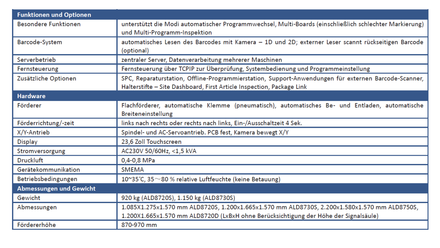| <b>Funktionen und Optionen</b> |                                                                                                                                                                               |
|--------------------------------|-------------------------------------------------------------------------------------------------------------------------------------------------------------------------------|
| <b>Besondere Funktionen</b>    | unterstützt die Modi automatischer Programmwechsel, Multi-Boards (einschließlich schlechter Markierung)<br>und Multi-Programm-Inspektion                                      |
| Barcode-System                 | automatisches Lesen des Barcodes mit Kamera - 1D und 2D; externer Leser scannt rückseitigen Barcode<br>(optional)                                                             |
| Serverbetrieb                  | zentraler Server, Datenverarbeitung mehrerer Maschinen                                                                                                                        |
| Fernsteuerung                  | Fernsteuerung über TCPIP zur Überprüfung, Systembedienung und Programmeinstellung                                                                                             |
| Zusätzliche Optionen           | SPC, Reparaturstation, Offline-Programmierstation, Support-Anwendungen für externen Barcode-Scanner,<br>Halterstifte - Site Dashboard, First Article Inspection, Package Link |
| <b>Hardware</b>                |                                                                                                                                                                               |
| Förderer                       | Flachförderer, automatische Klemme (pneumatisch), automatisches Be- und Entladen, automatische<br>Breiteneinstellung                                                          |
| Förderrichtung/-zeit           | links nach rechts oder rechts nach links, Ein-/Ausschaltzeit 4 Sek.                                                                                                           |
| X/Y-Antrieb                    | Spindel- und AC-Servoantrieb. PCB fest, Kamera bewegt X/Y                                                                                                                     |
| Display                        | 23,6 Zoll Touchscreen                                                                                                                                                         |
| Stromversorgung                | AC230V 50/60Hz, <1,5 kVA                                                                                                                                                      |
| <b>Druckluft</b>               | 0,4-0,8 MPa                                                                                                                                                                   |
| Gerätekommunikation            | <b>SMEMA</b>                                                                                                                                                                  |
| Betriebsbedingungen            | 10~35°C, 35 $\sim$ 80 % relative Luftfeuchte (keine Betauung)                                                                                                                 |
| <b>Abmessungen und Gewicht</b> |                                                                                                                                                                               |
| Gewicht                        | 920 kg (ALD8720S), 1.150 kg (ALD8730S)                                                                                                                                        |
| Abmessungen                    | 1.085X1.275x1.570 mm ALD8720S, 1.200x1.665x1.570 mm ALD8730S, 2.200x1.580x1.570 mm ALD8750S,                                                                                  |
|                                | 1.200X1.665x1.570 mm ALD8720D (LxBxH ohne Berücksichtigung der Höhe der Signalsäule)                                                                                          |
| Fördererhöhe                   | 870-970 mm                                                                                                                                                                    |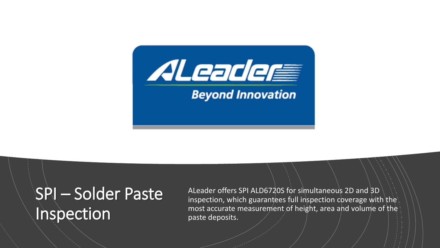

### SPI – Solder Paste **Inspection**

ALeader offers SPI ALD6720S for simultaneous 2D and 3D inspection, which guarantees full inspection coverage with the most accurate measurement of height, area and volume of the paste deposits.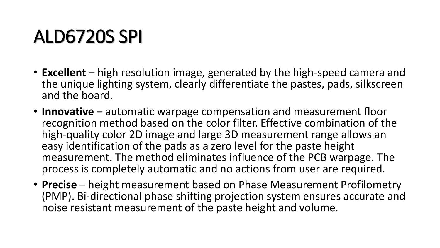- **Excellent** high resolution image, generated by the high-speed camera and the unique lighting system, clearly differentiate the pastes, pads, silkscreen and the board.
- **Innovative** automatic warpage compensation and measurement floor recognition method based on the color filter. Effective combination of the high-quality color 2D image and large 3D measurement range allows an easy identification of the pads as a zero level for the paste height measurement. The method eliminates influence of the PCB warpage. The process is completely automatic and no actions from user are required.
- **Precise** height measurement based on Phase Measurement Profilometry (PMP). Bi-directional phase shifting projection system ensures accurate and noise resistant measurement of the paste height and volume.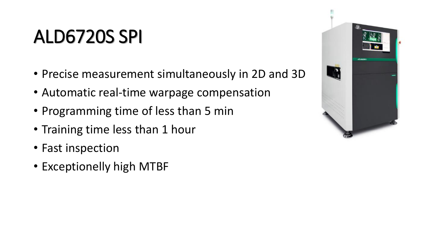- Precise measurement simultaneously in 2D and 3D
- Automatic real-time warpage compensation
- Programming time of less than 5 min
- Training time less than 1 hour
- Fast inspection
- Exceptionelly high MTBF

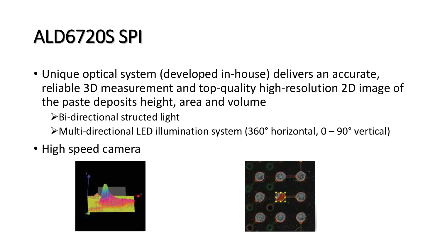• Unique optical system (developed in-house) delivers an accurate, reliable 3D measurement and top-quality high-resolution 2D image of the paste deposits height, area and volume

➢Bi-directional structed light

 $\triangleright$  Multi-directional LED illumination system (360° horizontal, 0 – 90° vertical)

• High speed camera



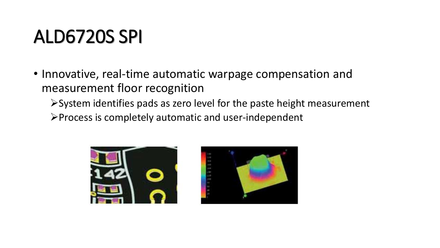• Innovative, real-time automatic warpage compensation and measurement floor recognition

➢System identifies pads as zero level for the paste height measurement

➢Process is completely automatic and user-independent



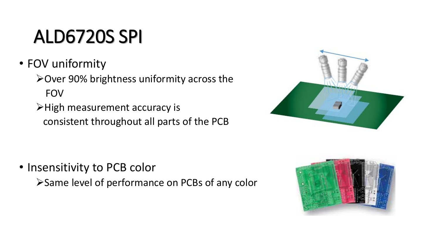- FOV uniformity
	- ➢Over 90% brightness uniformity across the FOV
	- ➢High measurement accuracy is consistent throughout all parts of the PCB



- Insensitivity to PCB color
	- ➢Same level of performance on PCBs of any color

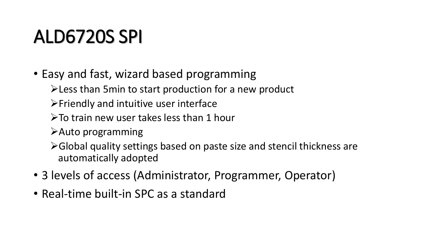- Easy and fast, wizard based programming
	- ➢Less than 5min to start production for a new product
	- ➢Friendly and intuitive user interface
	- $\triangleright$  To train new user takes less than 1 hour
	- ➢Auto programming
	- ➢Global quality settings based on paste size and stencil thickness are automatically adopted
- 3 levels of access (Administrator, Programmer, Operator)
- Real-time built-in SPC as a standard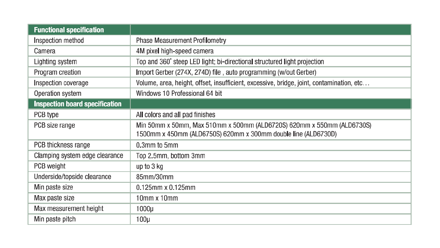| <b>Functional specification</b>       |                                                                                          |
|---------------------------------------|------------------------------------------------------------------------------------------|
| Inspection method                     | <b>Phase Measurement Profilometry</b>                                                    |
| Camera                                | 4M pixel high-speed camera                                                               |
| Lighting system                       | Top and 360° steep LED light; bi-directional structured light projection                 |
| Program creation                      | Import Gerber (274X, 274D) file, auto programming (w/out Gerber)                         |
| Inspection coverage                   | Volume, area, height, offset, insufficient, excessive, bridge, joint, contamination, etc |
| Operation system                      | Windows 10 Professional 64 bit                                                           |
| <b>Inspection board specification</b> |                                                                                          |
| PCB type                              | All colors and all pad finishes                                                          |
| PCB size range                        | Min 50mm x 50mm, Max 510mm x 500mm (ALD6720S) 620mm x 550mm (ALD6730S)                   |
|                                       | 1500mm x 450mm (ALD6750S) 620mm x 300mm double line (ALD6730D)                           |
| PCB thickness range                   | 0.3mm to 5mm                                                                             |
| Clamping system edge clearance        | Top 2.5mm, bottom 3mm                                                                    |
| PCB weight                            | up to 3 kg                                                                               |
| Underside/topside clearance           | 85mm/30mm                                                                                |
| Min paste size                        | $0.125$ mm x $0.125$ mm                                                                  |
| Max paste size                        | $10$ mm x $10$ mm                                                                        |
| Max measurement height                | $1000\mu$                                                                                |
| Min paste pitch                       | $100\mu$                                                                                 |